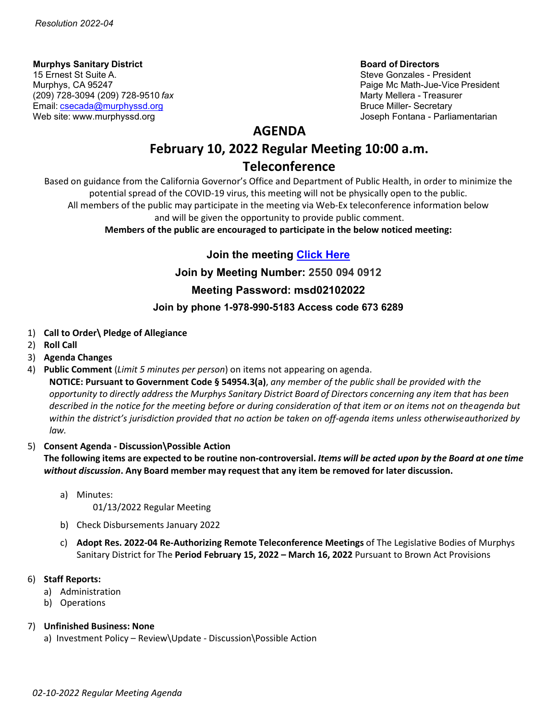**Murphys Sanitary District Board of Directors**

15 Ernest St Suite A. Suite A. Suite A. Steve Gonzales - President Arrent Arrent Arrent Arrent Arrent Arrent A<br>Steve Gonzales - President Arrent Arrent Arrent Arrent Arrent Arrent Arrent Arrent Arrent Arrent Arrent Arren (209) 728-3094 (209) 728-9510 *fax* Marty Mellera - Treasurer Email: [csecada@murphyssd.org](mailto:csecada@murphyssd.org) Bruce Miller- Secretary Bruce Miller- Secretary

Paige Mc Math-Jue-Vice President Web site: [www.murphyssd.org](http://www.murphyssd.org/) Joseph Fontana - Parliamentarian

## **AGENDA**

# **February 10, 2022 Regular Meeting 10:00 a.m. Teleconference**

Based on guidance from the California Governor's Office and Department of Public Health, in order to minimize the potential spread of the COVID-19 virus, this meeting will not be physically open to the public. All members of the public may participate in the meeting via Web-Ex teleconference information below and will be given the opportunity to provide public comment.

**Members of the public are encouraged to participate in the below noticed meeting:**

**Join the meeting [Click Here](https://murphyssanitarydistrict.my.webex.com/murphyssanitarydistrict.my/j.php?MTID=mb1173e087b03a30ef7b5bd0225f6e047)**

**Join by Meeting Number: 2550 094 0912**

## **Meeting Password: msd02102022**

### **Join by phone 1-978-990-5183 Access code 673 6289**

- 1) **Call to Order\ Pledge of Allegiance**
- 2) **Roll Call**
- 3) **Agenda Changes**
- 4) **Public Comment** (*Limit 5 minutes per person*) on items not appearing on agenda.

**NOTICE: Pursuant to Government Code § 54954.3(a)**, *any member of the public shall be provided with the* opportunity to directly address the Murphys Sanitary District Board of Directors concerning any item that has been *described in the notice for the meeting before or during consideration of that item or on items not on theagenda but within the district's jurisdiction provided that no action be taken on off-agenda items unless otherwiseauthorized by law.*

#### 5) **Consent Agenda - Discussion\Possible Action**

The following items are expected to be routine non-controversial. Items will be acted upon by the Board at one time *without discussion***. Any Board member may request that any item be removed for later discussion.**

a) Minutes:

01/13/2022 Regular Meeting

- b) Check Disbursements January 2022
- c) **Adopt Res. 2022-04 Re-Authorizing Remote Teleconference Meetings** of The Legislative Bodies of Murphys Sanitary District for The **Period February 15, 2022 – March 16, 2022** Pursuant to Brown Act Provisions

#### 6) **Staff Reports:**

- a) Administration
- b) Operations

#### 7) **Unfinished Business: None**

a)Investment Policy – Review\Update - Discussion\Possible Action